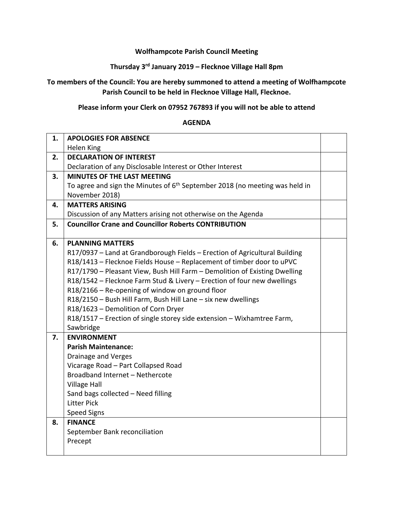#### **Wolfhampcote Parish Council Meeting**

# **Thursday 3rd January 2019 – Flecknoe Village Hall 8pm**

## **To members of the Council: You are hereby summoned to attend a meeting of Wolfhampcote Parish Council to be held in Flecknoe Village Hall, Flecknoe.**

### **Please inform your Clerk on 07952 767893 if you will not be able to attend**

#### **AGENDA**

| 1. | <b>APOLOGIES FOR ABSENCE</b>                                                  |  |
|----|-------------------------------------------------------------------------------|--|
|    | Helen King                                                                    |  |
| 2. | <b>DECLARATION OF INTEREST</b>                                                |  |
|    | Declaration of any Disclosable Interest or Other Interest                     |  |
| 3. | <b>MINUTES OF THE LAST MEETING</b>                                            |  |
|    | To agree and sign the Minutes of $6th$ September 2018 (no meeting was held in |  |
|    | November 2018)                                                                |  |
| 4. | <b>MATTERS ARISING</b>                                                        |  |
|    | Discussion of any Matters arising not otherwise on the Agenda                 |  |
| 5. | <b>Councillor Crane and Councillor Roberts CONTRIBUTION</b>                   |  |
|    |                                                                               |  |
| 6. | <b>PLANNING MATTERS</b>                                                       |  |
|    | R17/0937 - Land at Grandborough Fields - Erection of Agricultural Building    |  |
|    | R18/1413 - Flecknoe Fields House - Replacement of timber door to uPVC         |  |
|    | R17/1790 - Pleasant View, Bush Hill Farm - Demolition of Existing Dwelling    |  |
|    | R18/1542 - Flecknoe Farm Stud & Livery - Erection of four new dwellings       |  |
|    | R18/2166 - Re-opening of window on ground floor                               |  |
|    | R18/2150 - Bush Hill Farm, Bush Hill Lane - six new dwellings                 |  |
|    | R18/1623 - Demolition of Corn Dryer                                           |  |
|    | R18/1517 - Erection of single storey side extension - Wixhamtree Farm,        |  |
|    | Sawbridge                                                                     |  |
| 7. | <b>ENVIRONMENT</b>                                                            |  |
|    | <b>Parish Maintenance:</b>                                                    |  |
|    | <b>Drainage and Verges</b>                                                    |  |
|    | Vicarage Road - Part Collapsed Road                                           |  |
|    | Broadband Internet - Nethercote                                               |  |
|    | <b>Village Hall</b>                                                           |  |
|    | Sand bags collected - Need filling                                            |  |
|    | <b>Litter Pick</b>                                                            |  |
|    | <b>Speed Signs</b>                                                            |  |
| 8. | <b>FINANCE</b>                                                                |  |
|    | September Bank reconciliation                                                 |  |
|    | Precept                                                                       |  |
|    |                                                                               |  |